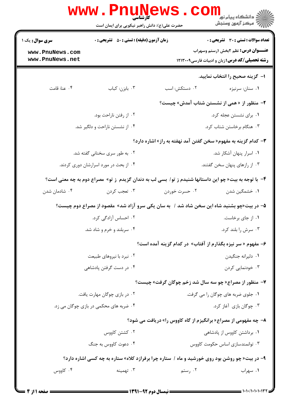|                                                                                                      | WWW.Pnunt<br>حضرت علی(ع): دانش راهبر نیکویی برای ایمان است | ڪ دانشڪاه پيام نور<br><mark>ر</mark> 7 مرڪز آزمون وسنڊش                                             |                 |  |  |
|------------------------------------------------------------------------------------------------------|------------------------------------------------------------|-----------------------------------------------------------------------------------------------------|-----------------|--|--|
| <b>زمان آزمون (دقیقه) : تستی : 50 ٪ تشریحی : 0</b><br><b>سری سوال :</b> یک ۱                         |                                                            | <b>تعداد سوالات : تستی : 30 ٪ تشریحی : 0</b>                                                        |                 |  |  |
| www.PnuNews.com<br>www.PnuNews.net                                                                   |                                                            | <b>عنـــوان درس:</b> نظم ۲بخش ۱رستم وسهراب<br><b>رشته تحصیلی/کد درس: زبان و ادبیات فارسی1۲۱۳۰۰۹</b> |                 |  |  |
|                                                                                                      |                                                            | ا– گزینه صحیح را انتخاب نمایید.                                                                     |                 |  |  |
| ۰۴ عنا: قامت                                                                                         | ۰۳ بابزن: کباب                                             | ۰۲ دستکش: اسب                                                                                       | ۰۱ سنان: سرنيزه |  |  |
|                                                                                                      |                                                            | ۲- منظور از «همی از نشستن شتاب آمدش» چیست؟                                                          |                 |  |  |
|                                                                                                      | ۰۲ از رفتن ناراحت بود.                                     | ٠١. براى نشستن عجله كرد.                                                                            |                 |  |  |
|                                                                                                      | ۰۴ از نشستن ناراحت و دلگیر شد.                             | ۰۳ هنگام برخاستن شتاب کرد.                                                                          |                 |  |  |
|                                                                                                      |                                                            | <b>۳</b> – کدام گزینه به مفهوم« سخن گفتن آمد نهفته به راز» اشاره دارد؟                              |                 |  |  |
| ۰۲ به طور سری سخنانی گفته شد.                                                                        |                                                            | ۰۱ اسرار پنهان آشکار شد.                                                                            |                 |  |  |
| ۰۴ از بحث در مورد اسرارشان دوری کردند.                                                               |                                                            | ۰۳ از رازهای پنهان سخن گفتند.                                                                       |                 |  |  |
| ۴- با توجه به بیت«چو این داستانها شنیدم ز تو/ بسی لب به دندان گزیدم  ز تو» مصراع دوم به چه معنی است؟ |                                                            |                                                                                                     |                 |  |  |
| ۰۴ شادمان شدن                                                                                        | ۰۳ تعجب كردن                                               | ۰۲ حسرت خوردن                                                                                       | ۰۱ خشمگین شدن   |  |  |
|                                                                                                      |                                                            | ۵– در بیت«چو بشنید شاه این سخن شاد شد /  به سان یکی سرو آزاد شد»  مقصود از مصراع دوم چیست؟          |                 |  |  |
|                                                                                                      | ۰۲ احساس آزادگی کرد.<br>۰۱ از جای برخاست.                  |                                                                                                     |                 |  |  |
|                                                                                                      | ۰۳ سرش را بلند کرد.<br>۰۴ سربلند و خرم و شاد شد.           |                                                                                                     |                 |  |  |
|                                                                                                      |                                                            | ۶– مفهوم « سر نیزه بگذارم از آفتاب» در کدام گزینه آمده است؟                                         |                 |  |  |
| ۰۲ نبرد با نیروهای طبیعت                                                                             |                                                            | ۰۱ دليرانه جنگيدن                                                                                   |                 |  |  |
| ۰۴ در دست گرفتن یادشاهی                                                                              |                                                            | ۰۳ خودنمایی کردن                                                                                    |                 |  |  |
|                                                                                                      |                                                            | ۷- منظور از مصراع« چو سه سال شد زخم چوگان گرفت» چیست؟                                               |                 |  |  |
| ۰۲ در بازی چوگان مهارت یافت.                                                                         |                                                            | ۰۱ جلوی ضربه های چوگان را می گرفت.                                                                  |                 |  |  |
| ۰۴ ضربه های محکمی در بازی چوگان می زد.                                                               |                                                            | ۰۳ چوگان بازی آغاز کرد.                                                                             |                 |  |  |
|                                                                                                      |                                                            | <b>۸- چه مفهومی از مصراع« برانگیزم از گاه کاووس را» دریافت می شود؟</b>                              |                 |  |  |
| ۰۲ کشتن کاووس                                                                                        |                                                            | ۰۱ برداشتن کاووس از پادشاهی                                                                         |                 |  |  |
| ۰۴ دعوت کاووس به جنگ                                                                                 |                                                            | ۰۳ توانمندسازی اساس حکومت کاووس                                                                     |                 |  |  |
| ۹- در بیت« چو روشن بود روی خورشید و ماه / ستاره چرا برفرازد کلاه» ستاره به چه کسی اشاره دارد؟        |                                                            |                                                                                                     |                 |  |  |
| ۰۴ کاووس                                                                                             | ۰۳ تهمینه                                                  | ۰۲ رستم                                                                                             | ۰۱ سهراب        |  |  |
|                                                                                                      |                                                            |                                                                                                     |                 |  |  |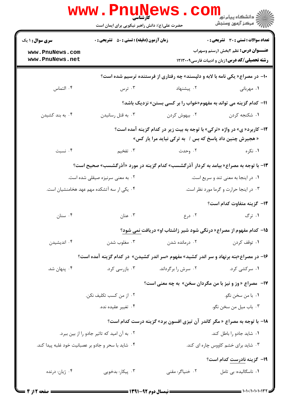|                                                     | حضرت علی(ع): دانش راهبر نیکویی برای ایمان است      |                                                                                                                                     | دانشگاه پیام نور<br>ا∛ مرکز آزمون وسنجش                                                             |
|-----------------------------------------------------|----------------------------------------------------|-------------------------------------------------------------------------------------------------------------------------------------|-----------------------------------------------------------------------------------------------------|
| <b>سری سوال : ۱ یک</b>                              | <b>زمان آزمون (دقیقه) : تستی : 50 ٪ تشریحی : 0</b> |                                                                                                                                     | <b>تعداد سوالات : تستي : 30 ٪ تشريحي : 0</b>                                                        |
| www.PnuNews.com<br>www.PnuNews.net                  |                                                    |                                                                                                                                     | <b>عنـــوان درس:</b> نظم ۲بخش ۱رستم وسهراب<br><b>رشته تحصیلی/کد درس: زبان و ادبیات فارسی1۲۱۳۰۰۹</b> |
|                                                     |                                                    | +۱- در مصراع« یکی نامه با لابه و دلپسند» چه رفتاری از فرستنده ترسیم شده است؟                                                        |                                                                                                     |
| ۰۴ التماس                                           | ۰۳ ترس                                             | ۰۲ پیشنهاد                                                                                                                          | ٠١. مهرباني                                                                                         |
|                                                     |                                                    | 11- کدام گزینه می تواند به مفهوم«خواب را بر کسی بستن» نزدیک باشد؟                                                                   |                                                                                                     |
| ۰۴ به بند کشیدن                                     | ۰۳ به قتل رسانيدن                                  | ۰۲ بیهوش کردن                                                                                                                       | ۰۱ شکنجه کردن                                                                                       |
|                                                     |                                                    | ۱۲- کاربرد« ی» در واژه «ترکی» با توجه به بیت زیر در کدام گزینه آمده است؟<br>« هجیرش چنین داد پاسخ که بس / به ترکی نیاید مرا یار کس» |                                                                                                     |
| ۰۴ نسبت                                             | ۰۳ تفخیم                                           | ۰۲ وحدت                                                                                                                             | ۰۱ نکره                                                                                             |
|                                                     |                                                    | ۱۳- با توجه به مصراع« بیامد به کردار آذرگشسب» کدام گزینه در مورد «آذرگشسب» صحیح است؟                                                |                                                                                                     |
|                                                     | ۰۲ به معنی سرنیزه صیقلی شده است.                   |                                                                                                                                     | ۰۱ در اینجا به معنی تند و سریع است.                                                                 |
|                                                     | ۰۴ یکی ار سه آتشکده مهم عهد هخامنشیان است.         |                                                                                                                                     | ۰۳ در اینجا حرارت و گرما مورد نظر است.                                                              |
|                                                     |                                                    |                                                                                                                                     | ۱۴– گزینه متفاوت کدام است؟                                                                          |
| ۰۴ سنان                                             | ۰۳ عنان                                            | ۰۲ درع                                                                                                                              | ۰۱ ترگ                                                                                              |
|                                                     |                                                    | 1۵- کدام مفهوم از مصراع« درنگی شود شیر زاشتاب او» دریافت نمی شود؟                                                                   |                                                                                                     |
| ۰۴ اندیشیدن                                         | ۰۳ مغلوب شدن                                       | ۰۲ درمانده شدن                                                                                                                      | ۰۱ توقف کردن                                                                                        |
|                                                     |                                                    | ۱۶- در مصراع«بنه برنهاد و سر اندر کشید» مفهوم «سر اندر کشیدن» در کدام گزینه آمده است؟                                               |                                                                                                     |
| ۰۴ پنهان شد.                                        | ۰۳ بازرسی کرد.                                     | ۰۲ سرش را برگرداند.                                                                                                                 | ۰۱ سرکشی کرد.                                                                                       |
|                                                     |                                                    | <b>۱۷- هصراع «وز و نیز با من مگردان سخن» به چه معنی است؟</b>                                                                        |                                                                                                     |
|                                                     | ۰۲ از من کسب تکلیف نکن.                            |                                                                                                                                     | ٠١. با من سخن نگو.                                                                                  |
|                                                     | ۰۴ تغيير عقيده نده.                                |                                                                                                                                     | ۰۳ باب ميل من سخن نگو.                                                                              |
|                                                     |                                                    | ۱۸- با توجه به مصراع « مگر کاندر آن تیزی افسون برد» گزینه درست کدام است؟                                                            |                                                                                                     |
| ۰۲ به آن امید که تاثیر جادو را از بین ببرد.         |                                                    | ٠١ شايد جادو را باطل كند.                                                                                                           |                                                                                                     |
| ۰۴ شاید با سحر و جادو بر عصبانیت خود غلبه پیدا کند. |                                                    |                                                                                                                                     | ۰۳ شاید برای خشم کاووس چاره ای کند.                                                                 |
|                                                     |                                                    |                                                                                                                                     | 1۹– گزینه نادرست کدام است؟                                                                          |
| ۰۴ ژیان: درنده                                      | ۰۳ پیکار: بدخویی                                   | ۰۲ خنیاگر: مقنی                                                                                                                     | ٠١ ناسگاليده: بي تامل                                                                               |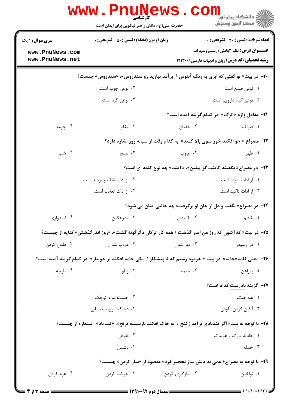|                                                                                                             | <b>WWW.PNU</b><br><b>کارشناسی</b><br>حضرت علی(ع): دانش راهبر نیکویی برای ایمان است                       | . COI           | ر دانشگاه پیام نور<br>رآ مرڪز آزمون وسنڊش                                                           |  |  |  |
|-------------------------------------------------------------------------------------------------------------|----------------------------------------------------------------------------------------------------------|-----------------|-----------------------------------------------------------------------------------------------------|--|--|--|
| سری سوال: ۱ یک                                                                                              | <b>زمان آزمون (دقیقه) : تستی : 50 ٪ تشریحی : 0</b>                                                       |                 | <b>تعداد سوالات : تستی : 30 ٪ تشریحی : 0</b>                                                        |  |  |  |
| www.PnuNews.com<br>www.PnuNews.net                                                                          |                                                                                                          |                 | <b>عنـــوان درس:</b> نظم ۲بخش ۱رستم وسهراب<br><b>رشته تحصیلی/کد درس:</b> زبان و ادبیات فارسی1۲۱۳۰۰۹ |  |  |  |
| <b>۲۰</b> - در بیت« تو گفتی که ابری به رنگ آبنوس / برآمد ببارید زو سندروس»، «سندروس» چیست؟                  |                                                                                                          |                 |                                                                                                     |  |  |  |
|                                                                                                             | ۰۲ نوعی چوب است.                                                                                         |                 | ۰۱ نوعی صمغ است.                                                                                    |  |  |  |
|                                                                                                             | ۰۴ نوعی گرد است.                                                                                         |                 | ۰۳ نوعی گیاه دارویی است.                                                                            |  |  |  |
|                                                                                                             |                                                                                                          |                 | <b>۲۱</b> - معادل واژه « ترگ» در کدام گزینه آمده است؟                                               |  |  |  |
| ۰۴ چرمه                                                                                                     | ۰۳ مغفر                                                                                                  | ۰۲ خفتان        | ۰۱ فتراک                                                                                            |  |  |  |
|                                                                                                             | <b>۲۲</b> - مصراع « چو افکند خور سوی بالا کمند» به کدام وقت از شبانه روز اشاره دارد؟                     |                 |                                                                                                     |  |  |  |
| ۰۴ شب                                                                                                       | ۰۳ صبح                                                                                                   | ۰۲ غروب         | ۰۱ ظهر                                                                                              |  |  |  |
|                                                                                                             |                                                                                                          |                 | ۲۳- در مصراع« بگفتند کاینت گو پیلتن»، « اینت» چه نوع کلمه ای است؟                                   |  |  |  |
|                                                                                                             | ۰۲ از ادات شک و تردید است.                                                                               |                 | ۰۱ از ادات شرط است.                                                                                 |  |  |  |
|                                                                                                             | ۰۴ از ادات تعجب است.                                                                                     |                 | ۰۳ از ادات تاکید است.                                                                               |  |  |  |
|                                                                                                             | <b>34- در مصراع« بگفت و دل از جان او برگرفت» چه حالتی بیان می شود؟</b>                                   |                 |                                                                                                     |  |  |  |
| ۰۴ امیدواری                                                                                                 | ۰۳ اندوهگین                                                                                              | ۰۲ ناامیدی      | ۱. خشم                                                                                              |  |  |  |
|                                                                                                             | ۲۵- در بیت« که اکنون که روز من اندر گذشت / همه کار ترکان دگرگونه گشت»، «روز اندرگذشتن» کنایه از چیست؟    |                 |                                                                                                     |  |  |  |
| ۰۴ طلوع کردن                                                                                                | ۰۳ غروب شدن                                                                                              | ۰۲ دیر شدن      | ۰۱ فرا رسیدن                                                                                        |  |  |  |
|                                                                                                             | ۲۶- معنی کلمه«جامه» در بیت «بفرمود رستم که تا پیشکار / یکی جامه افکند بر جویبار» در کدام گزینه آمده است؟ |                 |                                                                                                     |  |  |  |
| ۰۴ پارچه                                                                                                    | ۰۳ زیلو                                                                                                  | ۰۲ خیمه         | ۰۱ پیراهن                                                                                           |  |  |  |
|                                                                                                             |                                                                                                          |                 | <b>۲۷-</b> گزینه نادرست کدام است؟                                                                   |  |  |  |
|                                                                                                             | ۰۲ خشت: نیزه کوچک                                                                                        |                 | ١. غو: جنگ                                                                                          |  |  |  |
|                                                                                                             | ۰۴ دیدگاه: برج دیده بانی                                                                                 |                 | ۰۳ آگین کردن: آلودن                                                                                 |  |  |  |
| <b>۲۸</b> - با توجه به بیت« اگر تندبادی برآید زکنج / به خاک افکند نارسیده ترنج»، «تند باد» استعاره از چیست؟ |                                                                                                          |                 |                                                                                                     |  |  |  |
|                                                                                                             | ۰۲ طوفان                                                                                                 |                 | ۰۱ حادثه بزرگ و هولناک                                                                              |  |  |  |
|                                                                                                             | ۰۴ دشمن                                                                                                  |                 | ۰۳ حمله                                                                                             |  |  |  |
| 29- با توجه به مصراع« غمی بد دلش ساز نخجیر کرد» مقصود از «ساز کردن» چیست؟                                   |                                                                                                          |                 |                                                                                                     |  |  |  |
| ۰۴ عزم کردن                                                                                                 | ۰۳ حرکت کردن                                                                                             | ۰۲ سازگاری کردن | ۰۱ نواختن                                                                                           |  |  |  |
|                                                                                                             |                                                                                                          |                 |                                                                                                     |  |  |  |